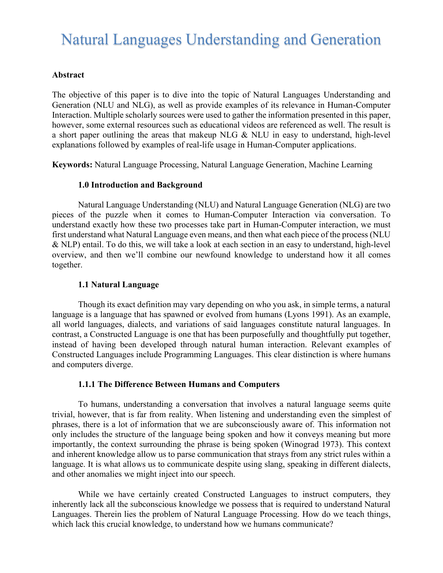# Natural Languages Understanding and Generation

#### **Abstract**

The objective of this paper is to dive into the topic of Natural Languages Understanding and Generation (NLU and NLG), as well as provide examples of its relevance in Human-Computer Interaction. Multiple scholarly sources were used to gather the information presented in this paper, however, some external resources such as educational videos are referenced as well. The result is a short paper outlining the areas that makeup NLG & NLU in easy to understand, high-level explanations followed by examples of real-life usage in Human-Computer applications.

**Keywords:** Natural Language Processing, Natural Language Generation, Machine Learning

#### **1.0 Introduction and Background**

Natural Language Understanding (NLU) and Natural Language Generation (NLG) are two pieces of the puzzle when it comes to Human-Computer Interaction via conversation. To understand exactly how these two processes take part in Human-Computer interaction, we must first understand what Natural Language even means, and then what each piece of the process (NLU & NLP) entail. To do this, we will take a look at each section in an easy to understand, high-level overview, and then we'll combine our newfound knowledge to understand how it all comes together.

#### **1.1 Natural Language**

Though its exact definition may vary depending on who you ask, in simple terms, a natural language is a language that has spawned or evolved from humans (Lyons 1991). As an example, all world languages, dialects, and variations of said languages constitute natural languages. In contrast, a Constructed Language is one that has been purposefully and thoughtfully put together, instead of having been developed through natural human interaction. Relevant examples of Constructed Languages include Programming Languages. This clear distinction is where humans and computers diverge.

#### **1.1.1 The Difference Between Humans and Computers**

To humans, understanding a conversation that involves a natural language seems quite trivial, however, that is far from reality. When listening and understanding even the simplest of phrases, there is a lot of information that we are subconsciously aware of. This information not only includes the structure of the language being spoken and how it conveys meaning but more importantly, the context surrounding the phrase is being spoken (Winograd 1973). This context and inherent knowledge allow us to parse communication that strays from any strict rules within a language. It is what allows us to communicate despite using slang, speaking in different dialects, and other anomalies we might inject into our speech.

While we have certainly created Constructed Languages to instruct computers, they inherently lack all the subconscious knowledge we possess that is required to understand Natural Languages. Therein lies the problem of Natural Language Processing. How do we teach things, which lack this crucial knowledge, to understand how we humans communicate?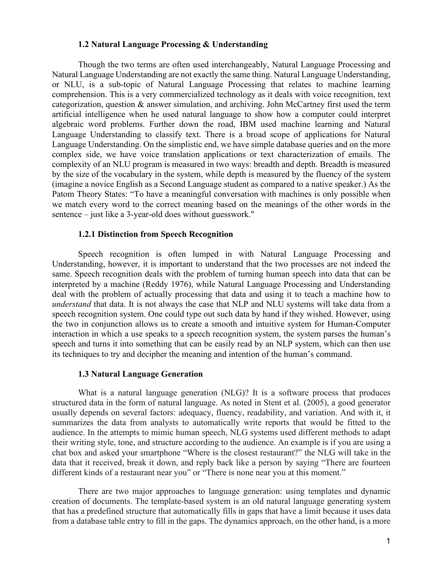#### **1.2 Natural Language Processing & Understanding**

Though the two terms are often used interchangeably, Natural Language Processing and Natural Language Understanding are not exactly the same thing. Natural Language Understanding, or NLU, is a sub-topic of Natural Language Processing that relates to machine learning comprehension. This is a very commercialized technology as it deals with voice recognition, text categorization, question & answer simulation, and archiving. John McCartney first used the term artificial intelligence when he used natural language to show how a computer could interpret algebraic word problems. Further down the road, IBM used machine learning and Natural Language Understanding to classify text. There is a broad scope of applications for Natural Language Understanding. On the simplistic end, we have simple database queries and on the more complex side, we have voice translation applications or text characterization of emails. The complexity of an NLU program is measured in two ways: breadth and depth. Breadth is measured by the size of the vocabulary in the system, while depth is measured by the fluency of the system (imagine a novice English as a Second Language student as compared to a native speaker.) As the Patom Theory States: "To have a meaningful conversation with machines is only possible when we match every word to the correct meaning based on the meanings of the other words in the sentence – just like a 3-year-old does without guesswork."

#### **1.2.1 Distinction from Speech Recognition**

Speech recognition is often lumped in with Natural Language Processing and Understanding, however, it is important to understand that the two processes are not indeed the same. Speech recognition deals with the problem of turning human speech into data that can be interpreted by a machine (Reddy 1976), while Natural Language Processing and Understanding deal with the problem of actually processing that data and using it to teach a machine how to *understand* that data. It is not always the case that NLP and NLU systems will take data from a speech recognition system. One could type out such data by hand if they wished. However, using the two in conjunction allows us to create a smooth and intuitive system for Human-Computer interaction in which a use speaks to a speech recognition system, the system parses the human's speech and turns it into something that can be easily read by an NLP system, which can then use its techniques to try and decipher the meaning and intention of the human's command.

#### **1.3 Natural Language Generation**

What is a natural language generation (NLG)? It is a software process that produces structured data in the form of natural language. As noted in Stent et al. (2005), a good generator usually depends on several factors: adequacy, fluency, readability, and variation. And with it, it summarizes the data from analysts to automatically write reports that would be fitted to the audience. In the attempts to mimic human speech, NLG systems used different methods to adapt their writing style, tone, and structure according to the audience. An example is if you are using a chat box and asked your smartphone "Where is the closest restaurant?" the NLG will take in the data that it received, break it down, and reply back like a person by saying "There are fourteen different kinds of a restaurant near you" or "There is none near you at this moment."

There are two major approaches to language generation: using templates and dynamic creation of documents. The template-based system is an old natural language generating system that has a predefined structure that automatically fills in gaps that have a limit because it uses data from a database table entry to fill in the gaps. The dynamics approach, on the other hand, is a more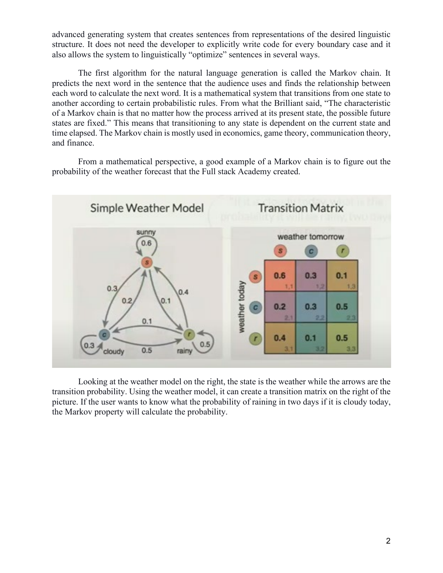advanced generating system that creates sentences from representations of the desired linguistic structure. It does not need the developer to explicitly write code for every boundary case and it also allows the system to linguistically "optimize" sentences in several ways.

The first algorithm for the natural language generation is called the Markov chain. It predicts the next word in the sentence that the audience uses and finds the relationship between each word to calculate the next word. It is a mathematical system that transitions from one state to another according to certain probabilistic rules. From what the Brilliant said, "The characteristic of a Markov chain is that no matter how the process arrived at its present state, the possible future states are fixed." This means that transitioning to any state is dependent on the current state and time elapsed. The Markov chain is mostly used in economics, game theory, communication theory, and finance.

From a mathematical perspective, a good example of a Markov chain is to figure out the probability of the weather forecast that the Full stack Academy created.



Looking at the weather model on the right, the state is the weather while the arrows are the transition probability. Using the weather model, it can create a transition matrix on the right of the picture. If the user wants to know what the probability of raining in two days if it is cloudy today, the Markov property will calculate the probability.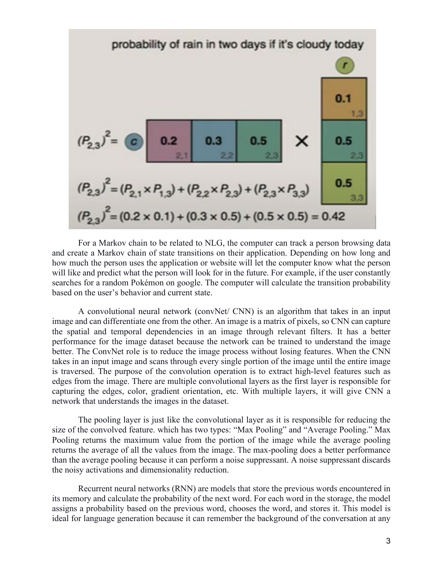

For a Markov chain to be related to NLG, the computer can track a person browsing data and create a Markov chain of state transitions on their application. Depending on how long and how much the person uses the application or website will let the computer know what the person will like and predict what the person will look for in the future. For example, if the user constantly searches for a random Pokémon on google. The computer will calculate the transition probability based on the user's behavior and current state.

A convolutional neural network (convNet/ CNN) is an algorithm that takes in an input image and can differentiate one from the other. An image is a matrix of pixels, so CNN can capture the spatial and temporal dependencies in an image through relevant filters. It has a better performance for the image dataset because the network can be trained to understand the image better. The ConvNet role is to reduce the image process without losing features. When the CNN takes in an input image and scans through every single portion of the image until the entire image is traversed. The purpose of the convolution operation is to extract high-level features such as edges from the image. There are multiple convolutional layers as the first layer is responsible for capturing the edges, color, gradient orientation, etc. With multiple layers, it will give CNN a network that understands the images in the dataset.

The pooling layer is just like the convolutional layer as it is responsible for reducing the size of the convolved feature. which has two types: "Max Pooling" and "Average Pooling." Max Pooling returns the maximum value from the portion of the image while the average pooling returns the average of all the values from the image. The max-pooling does a better performance than the average pooling because it can perform a noise suppressant. A noise suppressant discards the noisy activations and dimensionality reduction.

Recurrent neural networks (RNN) are models that store the previous words encountered in its memory and calculate the probability of the next word. For each word in the storage, the model assigns a probability based on the previous word, chooses the word, and stores it. This model is ideal for language generation because it can remember the background of the conversation at any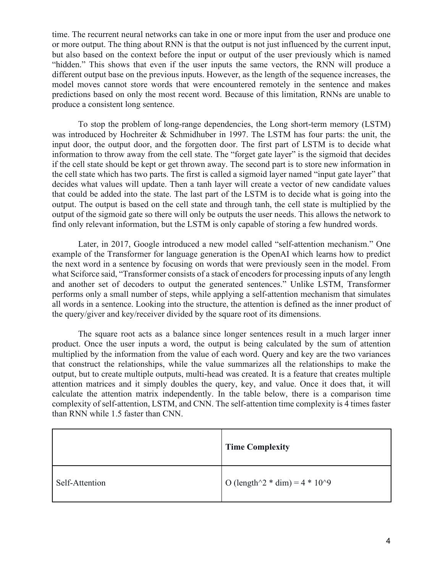time. The recurrent neural networks can take in one or more input from the user and produce one or more output. The thing about RNN is that the output is not just influenced by the current input, but also based on the context before the input or output of the user previously which is named "hidden." This shows that even if the user inputs the same vectors, the RNN will produce a different output base on the previous inputs. However, as the length of the sequence increases, the model moves cannot store words that were encountered remotely in the sentence and makes predictions based on only the most recent word. Because of this limitation, RNNs are unable to produce a consistent long sentence.

To stop the problem of long-range dependencies, the Long short-term memory (LSTM) was introduced by Hochreiter & Schmidhuber in 1997. The LSTM has four parts: the unit, the input door, the output door, and the forgotten door. The first part of LSTM is to decide what information to throw away from the cell state. The "forget gate layer" is the sigmoid that decides if the cell state should be kept or get thrown away. The second part is to store new information in the cell state which has two parts. The first is called a sigmoid layer named "input gate layer" that decides what values will update. Then a tanh layer will create a vector of new candidate values that could be added into the state. The last part of the LSTM is to decide what is going into the output. The output is based on the cell state and through tanh, the cell state is multiplied by the output of the sigmoid gate so there will only be outputs the user needs. This allows the network to find only relevant information, but the LSTM is only capable of storing a few hundred words.

Later, in 2017, Google introduced a new model called "self-attention mechanism." One example of the Transformer for language generation is the OpenAI which learns how to predict the next word in a sentence by focusing on words that were previously seen in the model. From what Sciforce said, "Transformer consists of a stack of encoders for processing inputs of any length and another set of decoders to output the generated sentences." Unlike LSTM, Transformer performs only a small number of steps, while applying a self-attention mechanism that simulates all words in a sentence. Looking into the structure, the attention is defined as the inner product of the query/giver and key/receiver divided by the square root of its dimensions.

The square root acts as a balance since longer sentences result in a much larger inner product. Once the user inputs a word, the output is being calculated by the sum of attention multiplied by the information from the value of each word. Query and key are the two variances that construct the relationships, while the value summarizes all the relationships to make the output, but to create multiple outputs, multi-head was created. It is a feature that creates multiple attention matrices and it simply doubles the query, key, and value. Once it does that, it will calculate the attention matrix independently. In the table below, there is a comparison time complexity of self-attention, LSTM, and CNN. The self-attention time complexity is 4 times faster than RNN while 1.5 faster than CNN.

|                | <b>Time Complexity</b>            |
|----------------|-----------------------------------|
| Self-Attention | O (length^2 $*$ dim) = 4 $*$ 10^9 |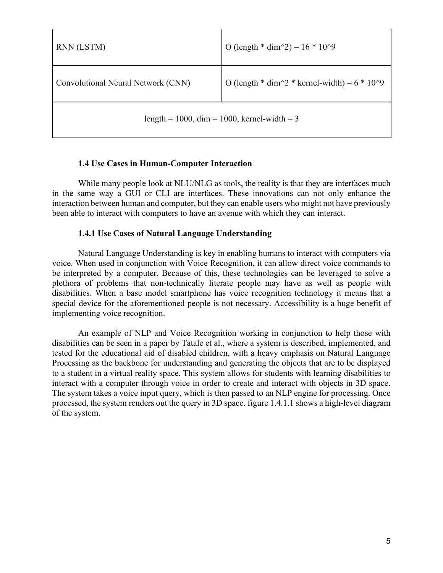| RNN (LSTM)                                  | O (length * dim $\binom{2}{2}$ = 16 * 10 $\binom{9}{2}$                    |  |  |  |  |  |  |
|---------------------------------------------|----------------------------------------------------------------------------|--|--|--|--|--|--|
| Convolutional Neural Network (CNN)          | O (length $*$ dim $\frac{\gamma_2}{*}$ kernel-width) = 6 $*$ 10 $\gamma$ 9 |  |  |  |  |  |  |
| length = 1000, dim = 1000, kernel-width = 3 |                                                                            |  |  |  |  |  |  |

#### **1.4 Use Cases in Human-Computer Interaction**

While many people look at NLU/NLG as tools, the reality is that they are interfaces much in the same way a GUI or CLI are interfaces. These innovations can not only enhance the interaction between human and computer, but they can enable users who might not have previously been able to interact with computers to have an avenue with which they can interact.

## **1.4.1 Use Cases of Natural Language Understanding**

Natural Language Understanding is key in enabling humans to interact with computers via voice. When used in conjunction with Voice Recognition, it can allow direct voice commands to be interpreted by a computer. Because of this, these technologies can be leveraged to solve a plethora of problems that non-technically literate people may have as well as people with disabilities. When a base model smartphone has voice recognition technology it means that a special device for the aforementioned people is not necessary. Accessibility is a huge benefit of implementing voice recognition.

An example of NLP and Voice Recognition working in conjunction to help those with disabilities can be seen in a paper by Tatale et al., where a system is described, implemented, and tested for the educational aid of disabled children, with a heavy emphasis on Natural Language Processing as the backbone for understanding and generating the objects that are to be displayed to a student in a virtual reality space. This system allows for students with learning disabilities to interact with a computer through voice in order to create and interact with objects in 3D space. The system takes a voice input query, which is then passed to an NLP engine for processing. Once processed, the system renders out the query in 3D space. figure 1.4.1.1 shows a high-level diagram of the system.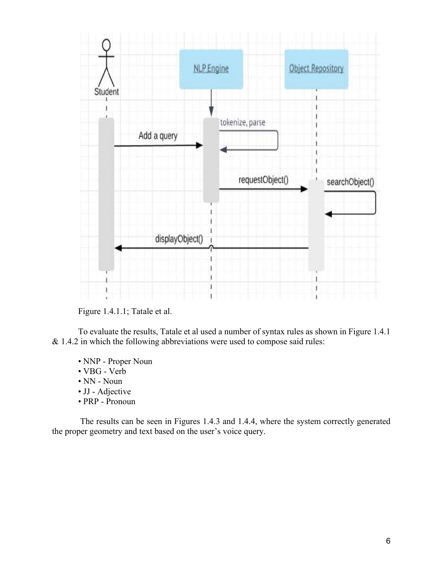

Figure 1.4.1.1; Tatale et al.

To evaluate the results, Tatale et al used a number of syntax rules as shown in Figure 1.4.1 & 1.4.2 in which the following abbreviations were used to compose said rules:

- NNP Proper Noun
- VBG Verb
- NN Noun
- JJ Adjective
- PRP Pronoun

The results can be seen in Figures 1.4.3 and 1.4.4, where the system correctly generated the proper geometry and text based on the user's voice query.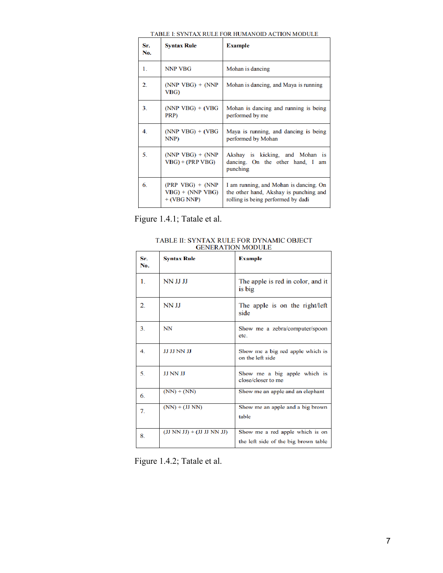| Sr.<br>No. | <b>Syntax Rule</b>                                          | <b>Example</b>                                                                                                         |
|------------|-------------------------------------------------------------|------------------------------------------------------------------------------------------------------------------------|
| 1.         | <b>NNP VBG</b>                                              | Mohan is dancing                                                                                                       |
| 2.         | $(NNP VBG) + (NNP)$<br>VBG)                                 | Mohan is dancing, and Maya is running                                                                                  |
| 3.         | $(NNP VBG) + (VBG)$<br>PRP)                                 | Mohan is dancing and running is being<br>performed by me                                                               |
| 4.         | $(NNP VBG) + (VBG)$<br>NNP)                                 | Maya is running, and dancing is being<br>performed by Mohan                                                            |
| 5.         | $(NNP VBG) + (NNP)$<br>$VBG$ + (PRP VBG)                    | Akshay is kicking, and Mohan is<br>dancing. On the other hand, I<br>am<br>punching                                     |
| 6.         | $(PRP VBG) + (NNP)$<br>$VBG$ ) + (NNP VBG)<br>$+ (VBG NNP)$ | I am running, and Mohan is dancing. On<br>the other hand, Akshay is punching and<br>rolling is being performed by dadi |

#### TABLE I: SYNTAX RULE FOR HUMANOID ACTION MODULE

Figure 1.4.1; Tatale et al.

TABLE II: SYNTAX RULE FOR DYNAMIC OBJECT<br>GENERATION MODULE

| Sr.<br>No.     | <b>Syntax Rule</b>           | <b>Example</b>                                                          |
|----------------|------------------------------|-------------------------------------------------------------------------|
| 1.             | NN JJ JJ                     | The apple is red in color, and it<br>is big                             |
| $\overline{2}$ | <b>NN JJ</b>                 | The apple is on the right/left<br>side                                  |
| 3.             | NN                           | Show me a zebra/computer/spoon<br>etc.                                  |
| $\overline{4}$ | JJ JJ NN JJ                  | Show me a big red apple which is<br>on the left side                    |
| 5.             | <b>JJ NN JJ</b>              | Show me a big apple which is<br>close/closer to me                      |
| 6.             | $(NN) + (NN)$                | Show me an apple and an elephant                                        |
| 7.             | $(NN) + (JJ NN)$             | Show me an apple and a big brown<br>table                               |
| 8              | $(JJ NN JJ) + (JJ JJ NN JJ)$ | Show me a red apple which is on<br>the left side of the big brown table |

Figure 1.4.2; Tatale et al.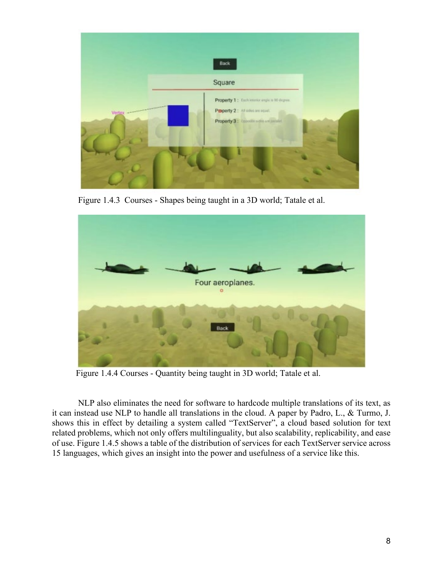

Figure 1.4.3 Courses - Shapes being taught in a 3D world; Tatale et al.



Figure 1.4.4 Courses - Quantity being taught in 3D world; Tatale et al.

NLP also eliminates the need for software to hardcode multiple translations of its text, as it can instead use NLP to handle all translations in the cloud. A paper by Padro, L., & Turmo, J. shows this in effect by detailing a system called "TextServer", a cloud based solution for text related problems, which not only offers multilinguality, but also scalability, replicability, and ease of use. Figure 1.4.5 shows a table of the distribution of services for each TextServer service across 15 languages, which gives an insight into the power and usefulness of a service like this.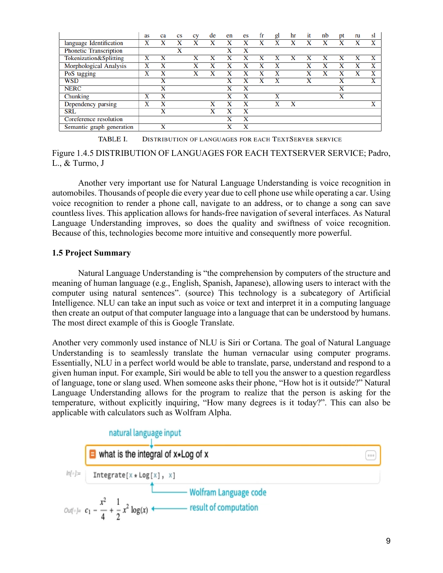|                               | as | ca                      | <b>CS</b> | <b>CV</b> | de | en | es | fr | gl | hr | it | nb | Dt                      | ru | sl |
|-------------------------------|----|-------------------------|-----------|-----------|----|----|----|----|----|----|----|----|-------------------------|----|----|
| language Identification       | X  | x                       | x         | x         | X  |    |    |    | X  | X  |    |    |                         |    | x  |
| <b>Phonetic Transcription</b> |    |                         | x         |           |    | x  | x  |    |    |    |    |    |                         |    |    |
| Tokenization&Splitting        | x  | x                       |           | х         |    |    |    |    | X  | X  |    |    |                         |    | X  |
| Morphological Analysis        | x  | x                       |           | x         | X  | X  | x  |    | x  |    | x  | X  |                         |    | X  |
| PoS tagging                   | x  | x                       |           | X         | v  |    |    |    | X  |    | x  |    | X                       |    | X  |
| <b>WSD</b>                    |    | x                       |           |           |    | x  |    |    | X  |    | x  |    | x                       |    | X  |
| <b>NERC</b>                   |    | x                       |           |           |    | x  | x  |    |    |    |    |    | $\overline{\textbf{X}}$ |    |    |
| Chunking                      | x  | x                       |           |           |    | X  | x  |    | x  |    |    |    | x                       |    |    |
| Dependency parsing            | X  | x                       |           |           | X  |    | x  |    | X  | X  |    |    |                         |    |    |
| <b>SRL</b>                    |    | $\overline{\textbf{x}}$ |           |           | X  |    | x  |    |    |    |    |    |                         |    |    |
| Coreference resolution        |    |                         |           |           |    |    | x  |    |    |    |    |    |                         |    |    |
| Semantic graph generation     |    | x                       |           |           |    | x  | x  |    |    |    |    |    |                         |    |    |

**TABLE I. DISTRIBUTION OF LANGUAGES FOR EACH TEXTSERVER SERVICE** 

#### Figure 1.4.5 DISTRIBUTION OF LANGUAGES FOR EACH TEXTSERVER SERVICE; Padro, L., & Turmo, J

Another very important use for Natural Language Understanding is voice recognition in automobiles. Thousands of people die every year due to cell phone use while operating a car. Using voice recognition to render a phone call, navigate to an address, or to change a song can save countless lives. This application allows for hands-free navigation of several interfaces. As Natural Language Understanding improves, so does the quality and swiftness of voice recognition. Because of this, technologies become more intuitive and consequently more powerful.

## **1.5 Project Summary**

Natural Language Understanding is "the comprehension by computers of the structure and meaning of human language (e.g., English, Spanish, Japanese), allowing users to interact with the computer using natural sentences". (source) This technology is a subcategory of Artificial Intelligence. NLU can take an input such as voice or text and interpret it in a computing language then create an output of that computer language into a language that can be understood by humans. The most direct example of this is Google Translate.

Another very commonly used instance of NLU is Siri or Cortana. The goal of Natural Language Understanding is to seamlessly translate the human vernacular using computer programs. Essentially, NLU in a perfect world would be able to translate, parse, understand and respond to a given human input. For example, Siri would be able to tell you the answer to a question regardless of language, tone or slang used. When someone asks their phone, "How hot is it outside?" Natural Language Understanding allows for the program to realize that the person is asking for the temperature, without explicitly inquiring, "How many degrees is it today?". This can also be applicable with calculators such as Wolfram Alpha.

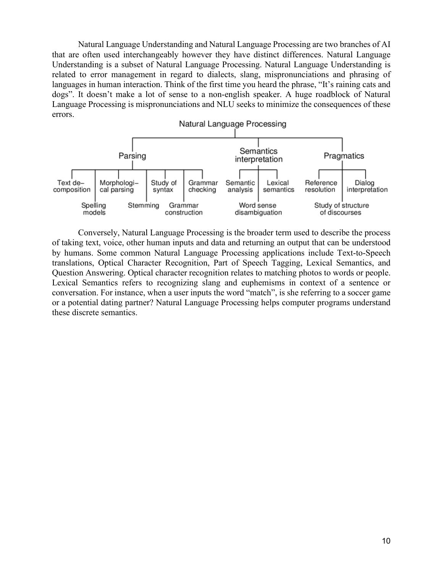Natural Language Understanding and Natural Language Processing are two branches of AI that are often used interchangeably however they have distinct differences. Natural Language Understanding is a subset of Natural Language Processing. Natural Language Understanding is related to error management in regard to dialects, slang, mispronunciations and phrasing of languages in human interaction. Think of the first time you heard the phrase, "It's raining cats and dogs". It doesn't make a lot of sense to a non-english speaker. A huge roadblock of Natural Language Processing is mispronunciations and NLU seeks to minimize the consequences of these errors.



Conversely, Natural Language Processing is the broader term used to describe the process of taking text, voice, other human inputs and data and returning an output that can be understood by humans. Some common Natural Language Processing applications include Text-to-Speech translations, Optical Character Recognition, Part of Speech Tagging, Lexical Semantics, and Question Answering. Optical character recognition relates to matching photos to words or people. Lexical Semantics refers to recognizing slang and euphemisms in context of a sentence or conversation. For instance, when a user inputs the word "match", is she referring to a soccer game or a potential dating partner? Natural Language Processing helps computer programs understand these discrete semantics.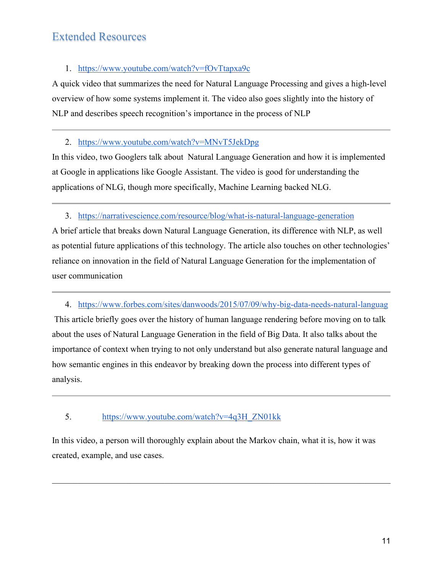# Extended Resources

# 1. <https://www.youtube.com/watch?v=fOvTtapxa9c>

A quick video that summarizes the need for Natural Language Processing and gives a high-level overview of how some systems implement it. The video also goes slightly into the history of NLP and describes speech recognition's importance in the process of NLP

# 2. <https://www.youtube.com/watch?v=MNvT5JekDpg>

In this video, two Googlers talk about Natural Language Generation and how it is implemented at Google in applications like Google Assistant. The video is good for understanding the applications of NLG, though more specifically, Machine Learning backed NLG.

## 3. <https://narrativescience.com/resource/blog/what-is-natural-language-generation>

A brief article that breaks down Natural Language Generation, its difference with NLP, as well as potential future applications of this technology. The article also touches on other technologies' reliance on innovation in the field of Natural Language Generation for the implementation of user communication

## 4. [https://www.forbes.com/sites/danwoods/2015/07/09/why-big-data-needs-natural-languag](https://www.forbes.com/sites/danwoods/2015/07/09/why-big-data-needs-natural-language-generation-to-work/#5ac1f5c0156c)

This article briefly goes over the history of human language rendering before moving on to talk about the uses of Natural Language Generation in the field of Big Data. It also talks about the importance of context when trying to not only understand but also generate natural language and how semantic engines in this endeavor by breaking down the process into different types of analysis.

# 5. [https://www.youtube.com/watch?v=4q3H\\_ZN01kk](https://www.youtube.com/watch?v=4q3H_ZN01kk)

In this video, a person will thoroughly explain about the Markov chain, what it is, how it was created, example, and use cases.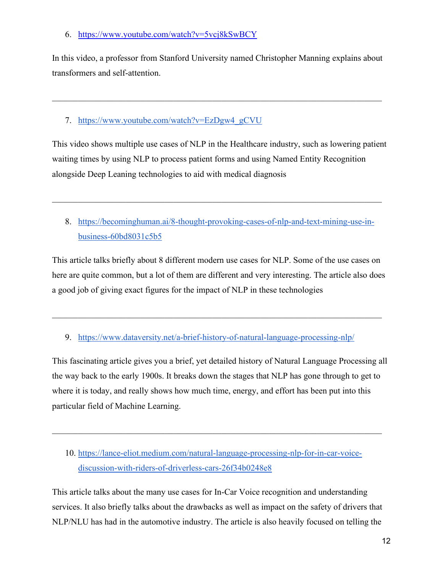6. <https://www.youtube.com/watch?v=5vcj8kSwBCY>

In this video, a professor from Stanford University named Christopher Manning explains about transformers and self-attention.

# 7. https://www.youtube.com/watch?v=EzDgw4\_gCVU

This video shows multiple use cases of NLP in the Healthcare industry, such as lowering patient waiting times by using NLP to process patient forms and using Named Entity Recognition alongside Deep Leaning technologies to aid with medical diagnosis

8. [https://becominghuman.ai/8-thought-provoking-cases-of-nlp-and-text-mining-use-in](https://becominghuman.ai/8-thought-provoking-cases-of-nlp-and-text-mining-use-in-business-60bd8031c5b5)[business-60bd8031c5b5](https://becominghuman.ai/8-thought-provoking-cases-of-nlp-and-text-mining-use-in-business-60bd8031c5b5)

This article talks briefly about 8 different modern use cases for NLP. Some of the use cases on here are quite common, but a lot of them are different and very interesting. The article also does a good job of giving exact figures for the impact of NLP in these technologies

\_\_\_\_\_\_\_\_\_\_\_\_\_\_\_\_\_\_\_\_\_\_\_\_\_\_\_\_\_\_\_\_\_\_\_\_\_\_\_\_\_\_\_\_\_\_\_\_\_\_\_\_\_\_\_\_\_\_\_\_\_\_\_\_\_\_\_\_\_\_\_\_\_\_\_\_

9. <https://www.dataversity.net/a-brief-history-of-natural-language-processing-nlp/>

This fascinating article gives you a brief, yet detailed history of Natural Language Processing all the way back to the early 1900s. It breaks down the stages that NLP has gone through to get to where it is today, and really shows how much time, energy, and effort has been put into this particular field of Machine Learning.

10. [https://lance-eliot.medium.com/natural-language-processing-nlp-for-in-car-voice](https://lance-eliot.medium.com/natural-language-processing-nlp-for-in-car-voice-discussion-with-riders-of-driverless-cars-26f34b0248e8)[discussion-with-riders-of-driverless-cars-26f34b0248e8](https://lance-eliot.medium.com/natural-language-processing-nlp-for-in-car-voice-discussion-with-riders-of-driverless-cars-26f34b0248e8)

This article talks about the many use cases for In-Car Voice recognition and understanding services. It also briefly talks about the drawbacks as well as impact on the safety of drivers that NLP/NLU has had in the automotive industry. The article is also heavily focused on telling the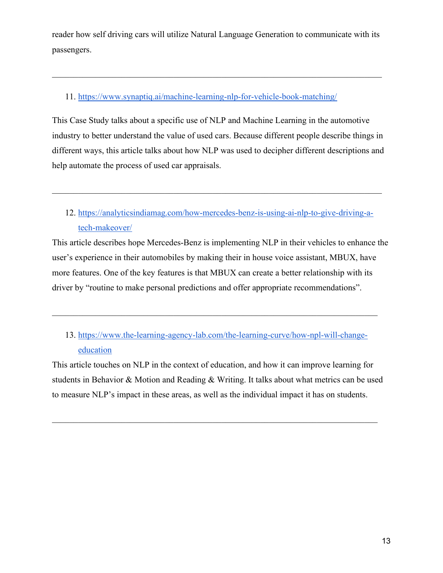reader how self driving cars will utilize Natural Language Generation to communicate with its passengers.

\_\_\_\_\_\_\_\_\_\_\_\_\_\_\_\_\_\_\_\_\_\_\_\_\_\_\_\_\_\_\_\_\_\_\_\_\_\_\_\_\_\_\_\_\_\_\_\_\_\_\_\_\_\_\_\_\_\_\_\_\_\_\_\_\_\_\_\_\_\_\_\_\_\_\_\_

# 11. <https://www.synaptiq.ai/machine-learning-nlp-for-vehicle-book-matching/>

This Case Study talks about a specific use of NLP and Machine Learning in the automotive industry to better understand the value of used cars. Because different people describe things in different ways, this article talks about how NLP was used to decipher different descriptions and help automate the process of used car appraisals.

12. [https://analyticsindiamag.com/how-mercedes-benz-is-using-ai-nlp-to-give-driving-a](https://analyticsindiamag.com/how-mercedes-benz-is-using-ai-nlp-to-give-driving-a-tech-makeover/)[tech-makeover/](https://analyticsindiamag.com/how-mercedes-benz-is-using-ai-nlp-to-give-driving-a-tech-makeover/)

This article describes hope Mercedes-Benz is implementing NLP in their vehicles to enhance the user's experience in their automobiles by making their in house voice assistant, MBUX, have more features. One of the key features is that MBUX can create a better relationship with its driver by "routine to make personal predictions and offer appropriate recommendations".

# 13. [https://www.the-learning-agency-lab.com/the-learning-curve/how-npl-will-change](https://www.the-learning-agency-lab.com/the-learning-curve/how-npl-will-change-education)[education](https://www.the-learning-agency-lab.com/the-learning-curve/how-npl-will-change-education)

\_\_\_\_\_\_\_\_\_\_\_\_\_\_\_\_\_\_\_\_\_\_\_\_\_\_\_\_\_\_\_\_\_\_\_\_\_\_\_\_\_\_\_\_\_\_\_\_\_\_\_\_\_\_\_\_\_\_\_\_\_\_\_\_\_\_\_\_\_\_\_\_\_\_\_

This article touches on NLP in the context of education, and how it can improve learning for students in Behavior & Motion and Reading & Writing. It talks about what metrics can be used to measure NLP's impact in these areas, as well as the individual impact it has on students.

\_\_\_\_\_\_\_\_\_\_\_\_\_\_\_\_\_\_\_\_\_\_\_\_\_\_\_\_\_\_\_\_\_\_\_\_\_\_\_\_\_\_\_\_\_\_\_\_\_\_\_\_\_\_\_\_\_\_\_\_\_\_\_\_\_\_\_\_\_\_\_\_\_\_\_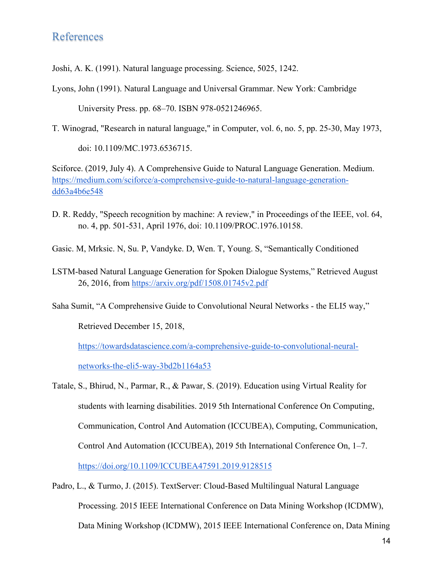# References

Joshi, A. K. (1991). Natural language processing. Science, 5025, 1242.

Lyons, John (1991). Natural Language and Universal Grammar. New York: Cambridge

University Press. pp. 68–70. ISBN 978-0521246965.

T. Winograd, "Research in natural language," in Computer, vol. 6, no. 5, pp. 25-30, May 1973,

doi: 10.1109/MC.1973.6536715.

Sciforce. (2019, July 4). A Comprehensive Guide to Natural Language Generation. Medium[.](https://medium.com/sciforce/a-comprehensive-guide-to-natural-language-generation-dd63a4b6e548) [https://medium.com/sciforce/a-comprehensive-guide-to-natural-language-generation](https://medium.com/sciforce/a-comprehensive-guide-to-natural-language-generation-dd63a4b6e548)[dd63a4b6e548](https://medium.com/sciforce/a-comprehensive-guide-to-natural-language-generation-dd63a4b6e548)

D. R. Reddy, "Speech recognition by machine: A review," in Proceedings of the IEEE, vol. 64, no. 4, pp. 501-531, April 1976, doi: 10.1109/PROC.1976.10158.

Gasic. M, Mrksic. N, Su. P, Vandyke. D, Wen. T, Young. S, "Semantically Conditioned

LSTM-based Natural Language Generation for Spoken Dialogue Systems," Retrieved August 26, 2016, from <https://arxiv.org/pdf/1508.01745v2.pdf>

Saha Sumit, "A Comprehensive Guide to Convolutional Neural Networks - the ELI5 way,"

Retrieved December 15, 2018,

[https://towardsdatascience.com/a-comprehensive-guide-to-convolutional-neural-](https://towardsdatascience.com/a-comprehensive-guide-to-convolutional-neural-networks-the-eli5-way-3bd2b1164a53)

[networks-the-eli5-way-3bd2b1164a53](https://towardsdatascience.com/a-comprehensive-guide-to-convolutional-neural-networks-the-eli5-way-3bd2b1164a53)

- Tatale, S., Bhirud, N., Parmar, R., & Pawar, S. (2019). Education using Virtual Reality for students with learning disabilities. 2019 5th International Conference On Computing, Communication, Control And Automation (ICCUBEA), Computing, Communication, Control And Automation (ICCUBEA), 2019 5th International Conference On, 1–7. <https://doi.org/10.1109/ICCUBEA47591.2019.9128515>
- Padro, L., & Turmo, J. (2015). TextServer: Cloud-Based Multilingual Natural Language Processing. 2015 IEEE International Conference on Data Mining Workshop (ICDMW), Data Mining Workshop (ICDMW), 2015 IEEE International Conference on, Data Mining